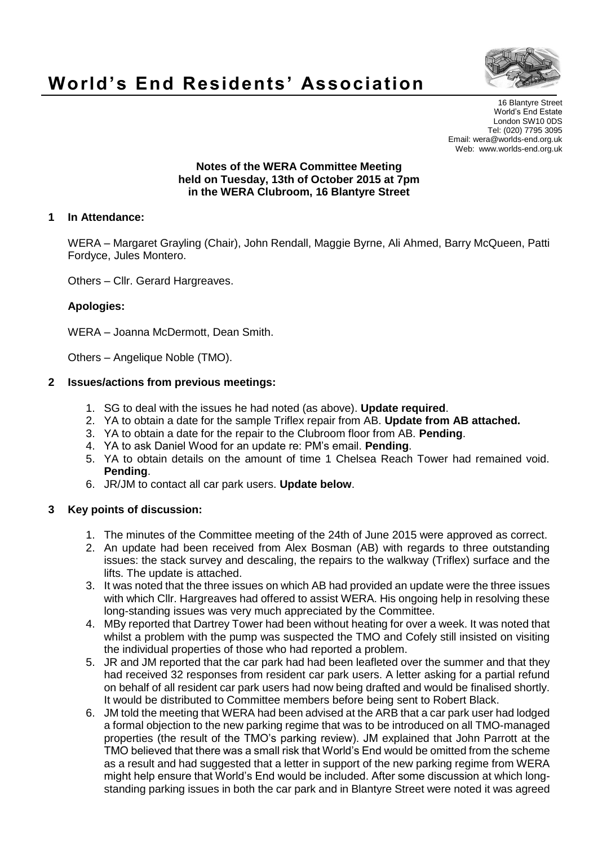

# **World's End Residents' Association**

16 Blantyre Street World's End Estate London SW10 0DS Tel: (020) 7795 3095 Email: wera@worlds-end.org.uk Web: www.worlds-end.org.uk

#### **Notes of the WERA Committee Meeting held on Tuesday, 13th of October 2015 at 7pm in the WERA Clubroom, 16 Blantyre Street**

# **1 In Attendance:**

WERA – Margaret Grayling (Chair), John Rendall, Maggie Byrne, Ali Ahmed, Barry McQueen, Patti Fordyce, Jules Montero.

Others – Cllr. Gerard Hargreaves.

# **Apologies:**

WERA – Joanna McDermott, Dean Smith.

Others – Angelique Noble (TMO).

# **2 Issues/actions from previous meetings:**

- 1. SG to deal with the issues he had noted (as above). **Update required**.
- 2. YA to obtain a date for the sample Triflex repair from AB. **Update from AB attached.**
- 3. YA to obtain a date for the repair to the Clubroom floor from AB. **Pending**.
- 4. YA to ask Daniel Wood for an update re: PM's email. **Pending**.
- 5. YA to obtain details on the amount of time 1 Chelsea Reach Tower had remained void. **Pending**.
- 6. JR/JM to contact all car park users. **Update below**.

## **3 Key points of discussion:**

- 1. The minutes of the Committee meeting of the 24th of June 2015 were approved as correct.
- 2. An update had been received from Alex Bosman (AB) with regards to three outstanding issues: the stack survey and descaling, the repairs to the walkway (Triflex) surface and the lifts. The update is attached.
- 3. It was noted that the three issues on which AB had provided an update were the three issues with which Cllr. Hargreaves had offered to assist WERA. His ongoing help in resolving these long-standing issues was very much appreciated by the Committee.
- 4. MBy reported that Dartrey Tower had been without heating for over a week. It was noted that whilst a problem with the pump was suspected the TMO and Cofely still insisted on visiting the individual properties of those who had reported a problem.
- 5. JR and JM reported that the car park had had been leafleted over the summer and that they had received 32 responses from resident car park users. A letter asking for a partial refund on behalf of all resident car park users had now being drafted and would be finalised shortly. It would be distributed to Committee members before being sent to Robert Black.
- 6. JM told the meeting that WERA had been advised at the ARB that a car park user had lodged a formal objection to the new parking regime that was to be introduced on all TMO-managed properties (the result of the TMO's parking review). JM explained that John Parrott at the TMO believed that there was a small risk that World's End would be omitted from the scheme as a result and had suggested that a letter in support of the new parking regime from WERA might help ensure that World's End would be included. After some discussion at which longstanding parking issues in both the car park and in Blantyre Street were noted it was agreed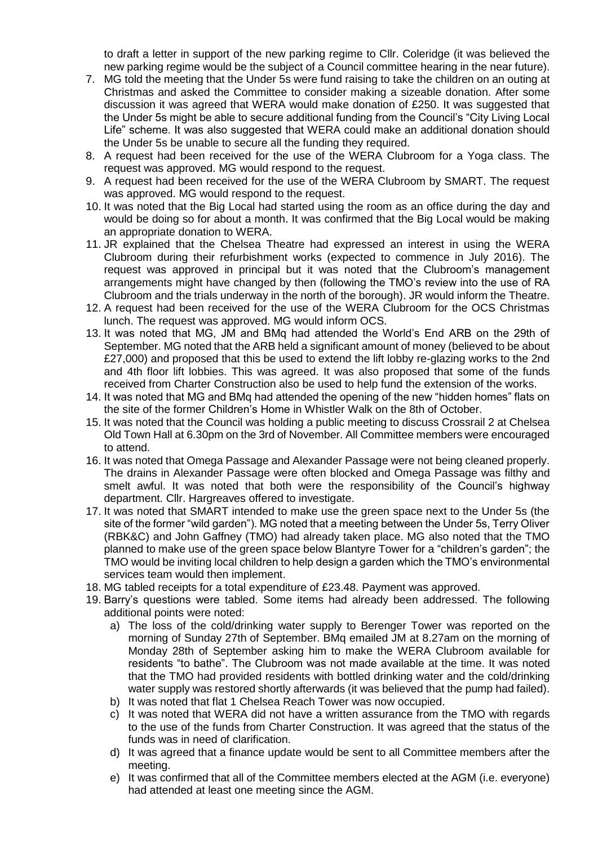to draft a letter in support of the new parking regime to Cllr. Coleridge (it was believed the new parking regime would be the subject of a Council committee hearing in the near future).

- 7. MG told the meeting that the Under 5s were fund raising to take the children on an outing at Christmas and asked the Committee to consider making a sizeable donation. After some discussion it was agreed that WERA would make donation of £250. It was suggested that the Under 5s might be able to secure additional funding from the Council's "City Living Local Life" scheme. It was also suggested that WERA could make an additional donation should the Under 5s be unable to secure all the funding they required.
- 8. A request had been received for the use of the WERA Clubroom for a Yoga class. The request was approved. MG would respond to the request.
- 9. A request had been received for the use of the WERA Clubroom by SMART. The request was approved. MG would respond to the request.
- 10. It was noted that the Big Local had started using the room as an office during the day and would be doing so for about a month. It was confirmed that the Big Local would be making an appropriate donation to WERA.
- 11. JR explained that the Chelsea Theatre had expressed an interest in using the WERA Clubroom during their refurbishment works (expected to commence in July 2016). The request was approved in principal but it was noted that the Clubroom's management arrangements might have changed by then (following the TMO's review into the use of RA Clubroom and the trials underway in the north of the borough). JR would inform the Theatre.
- 12. A request had been received for the use of the WERA Clubroom for the OCS Christmas lunch. The request was approved. MG would inform OCS.
- 13. It was noted that MG, JM and BMq had attended the World's End ARB on the 29th of September. MG noted that the ARB held a significant amount of money (believed to be about £27,000) and proposed that this be used to extend the lift lobby re-glazing works to the 2nd and 4th floor lift lobbies. This was agreed. It was also proposed that some of the funds received from Charter Construction also be used to help fund the extension of the works.
- 14. It was noted that MG and BMq had attended the opening of the new "hidden homes" flats on the site of the former Children's Home in Whistler Walk on the 8th of October.
- 15. It was noted that the Council was holding a public meeting to discuss Crossrail 2 at Chelsea Old Town Hall at 6.30pm on the 3rd of November. All Committee members were encouraged to attend.
- 16. It was noted that Omega Passage and Alexander Passage were not being cleaned properly. The drains in Alexander Passage were often blocked and Omega Passage was filthy and smelt awful. It was noted that both were the responsibility of the Council's highway department. Cllr. Hargreaves offered to investigate.
- 17. It was noted that SMART intended to make use the green space next to the Under 5s (the site of the former "wild garden"). MG noted that a meeting between the Under 5s, Terry Oliver (RBK&C) and John Gaffney (TMO) had already taken place. MG also noted that the TMO planned to make use of the green space below Blantyre Tower for a "children's garden"; the TMO would be inviting local children to help design a garden which the TMO's environmental services team would then implement.
- 18. MG tabled receipts for a total expenditure of £23.48. Payment was approved.
- 19. Barry's questions were tabled. Some items had already been addressed. The following additional points were noted:
	- a) The loss of the cold/drinking water supply to Berenger Tower was reported on the morning of Sunday 27th of September. BMq emailed JM at 8.27am on the morning of Monday 28th of September asking him to make the WERA Clubroom available for residents "to bathe". The Clubroom was not made available at the time. It was noted that the TMO had provided residents with bottled drinking water and the cold/drinking water supply was restored shortly afterwards (it was believed that the pump had failed).
	- b) It was noted that flat 1 Chelsea Reach Tower was now occupied.
	- c) It was noted that WERA did not have a written assurance from the TMO with regards to the use of the funds from Charter Construction. It was agreed that the status of the funds was in need of clarification.
	- d) It was agreed that a finance update would be sent to all Committee members after the meeting.
	- e) It was confirmed that all of the Committee members elected at the AGM (i.e. everyone) had attended at least one meeting since the AGM.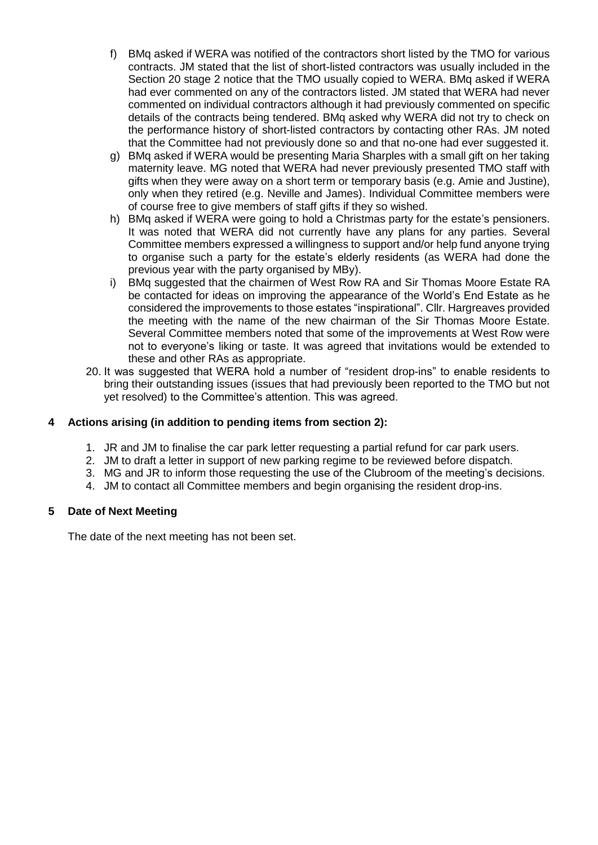- f) BMq asked if WERA was notified of the contractors short listed by the TMO for various contracts. JM stated that the list of short-listed contractors was usually included in the Section 20 stage 2 notice that the TMO usually copied to WERA. BMq asked if WERA had ever commented on any of the contractors listed. JM stated that WERA had never commented on individual contractors although it had previously commented on specific details of the contracts being tendered. BMq asked why WERA did not try to check on the performance history of short-listed contractors by contacting other RAs. JM noted that the Committee had not previously done so and that no-one had ever suggested it.
- g) BMq asked if WERA would be presenting Maria Sharples with a small gift on her taking maternity leave. MG noted that WERA had never previously presented TMO staff with gifts when they were away on a short term or temporary basis (e.g. Amie and Justine), only when they retired (e.g. Neville and James). Individual Committee members were of course free to give members of staff gifts if they so wished.
- h) BMq asked if WERA were going to hold a Christmas party for the estate's pensioners. It was noted that WERA did not currently have any plans for any parties. Several Committee members expressed a willingness to support and/or help fund anyone trying to organise such a party for the estate's elderly residents (as WERA had done the previous year with the party organised by MBy).
- i) BMq suggested that the chairmen of West Row RA and Sir Thomas Moore Estate RA be contacted for ideas on improving the appearance of the World's End Estate as he considered the improvements to those estates "inspirational". Cllr. Hargreaves provided the meeting with the name of the new chairman of the Sir Thomas Moore Estate. Several Committee members noted that some of the improvements at West Row were not to everyone's liking or taste. It was agreed that invitations would be extended to these and other RAs as appropriate.
- 20. It was suggested that WERA hold a number of "resident drop-ins" to enable residents to bring their outstanding issues (issues that had previously been reported to the TMO but not yet resolved) to the Committee's attention. This was agreed.

# **4 Actions arising (in addition to pending items from section 2):**

- 1. JR and JM to finalise the car park letter requesting a partial refund for car park users.
- 2. JM to draft a letter in support of new parking regime to be reviewed before dispatch.
- 3. MG and JR to inform those requesting the use of the Clubroom of the meeting's decisions.
- 4. JM to contact all Committee members and begin organising the resident drop-ins.

## **5 Date of Next Meeting**

The date of the next meeting has not been set.